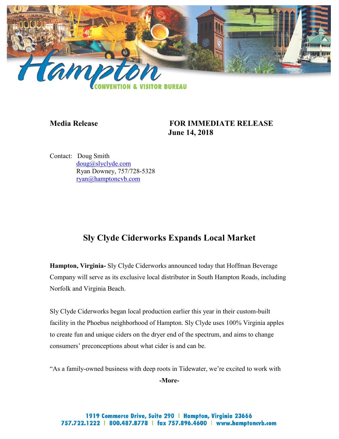

## **Media Release FOR IMMEDIATE RELEASE June 14, 2018**

Contact: Doug Smith [doug@slyclyde.com](mailto:doug@slyclyde.com) Ryan Downey, 757/728-5328 [ryan@hamptoncvb.com](mailto:ryan@hamptoncvb.com)

# **Sly Clyde Ciderworks Expands Local Market**

**Hampton, Virginia-** Sly Clyde Ciderworks announced today that Hoffman Beverage Company will serve as its exclusive local distributor in South Hampton Roads, including Norfolk and Virginia Beach.

Sly Clyde Ciderworks began local production earlier this year in their custom-built facility in the Phoebus neighborhood of Hampton. Sly Clyde uses 100% Virginia apples to create fun and unique ciders on the dryer end of the spectrum, and aims to change consumers' preconceptions about what cider is and can be.

"As a family-owned business with deep roots in Tidewater, we're excited to work with

**-More-**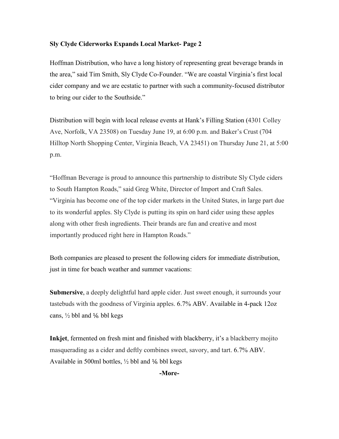#### **Sly Clyde Ciderworks Expands Local Market- Page 2**

Hoffman Distribution, who have a long history of representing great beverage brands in the area," said Tim Smith, Sly Clyde Co-Founder. "We are coastal Virginia's first local cider company and we are ecstatic to partner with such a community-focused distributor to bring our cider to the Southside."

Distribution will begin with local release events at Hank's Filling Station (4301 Colley Ave, Norfolk, VA 23508) on Tuesday June 19, at 6:00 p.m. and Baker's Crust (704 Hilltop North Shopping Center, Virginia Beach, VA 23451) on Thursday June 21, at 5:00 p.m.

"Hoffman Beverage is proud to announce this partnership to distribute Sly Clyde ciders to South Hampton Roads," said Greg White, Director of Import and Craft Sales. "Virginia has become one of the top cider markets in the United States, in large part due to its wonderful apples. Sly Clyde is putting its spin on hard cider using these apples along with other fresh ingredients. Their brands are fun and creative and most importantly produced right here in Hampton Roads."

Both companies are pleased to present the following ciders for immediate distribution, just in time for beach weather and summer vacations:

**Submersive**, a deeply delightful hard apple cider. Just sweet enough, it surrounds your tastebuds with the goodness of Virginia apples. 6.7% ABV. Available in 4-pack 12oz cans,  $\frac{1}{2}$  bbl and  $\frac{1}{6}$  bbl kegs

**Inkjet**, fermented on fresh mint and finished with blackberry, it's a blackberry mojito masquerading as a cider and deftly combines sweet, savory, and tart. 6.7% ABV. Available in 500ml bottles,  $\frac{1}{2}$  bbl and  $\frac{1}{6}$  bbl kegs

**-More-**